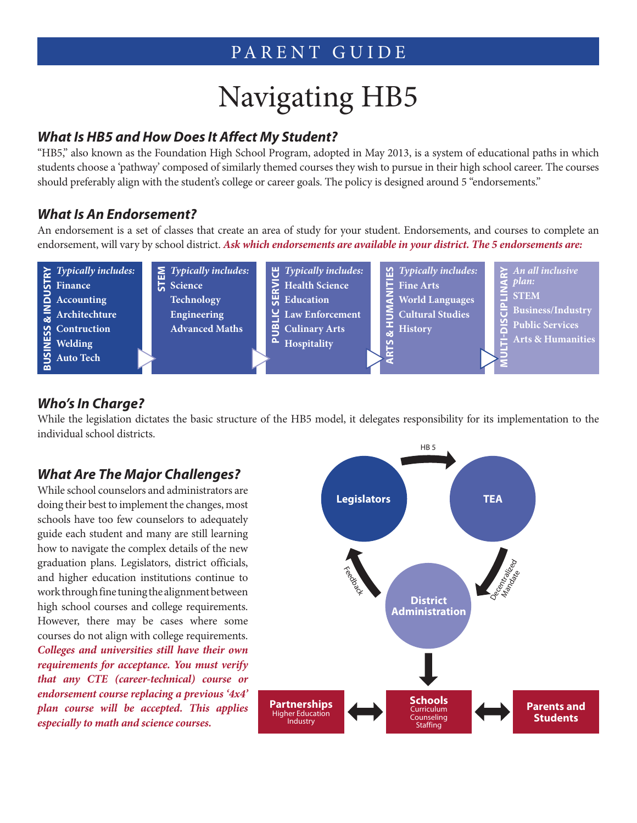# PARENT GUIDE

# Navigating HB5

#### *What Is HB5 and How Does It Affect My Student?*

"HB5," also known as the Foundation High School Program, adopted in May 2013, is a system of educational paths in which students choose a 'pathway' composed of similarly themed courses they wish to pursue in their high school career. The courses should preferably align with the student's college or career goals. The policy is designed around 5 "endorsements."

#### *What Is An Endorsement?*

An endorsement is a set of classes that create an area of study for your student. Endorsements, and courses to complete an endorsement, will vary by school district. *Ask which endorsements are available in your district. The 5 endorsements are:*



#### *Who's In Charge?*

While the legislation dictates the basic structure of the HB5 model, it delegates responsibility for its implementation to the individual school districts.

#### *What Are The Major Challenges?*

While school counselors and administrators are doing their best to implement the changes, most schools have too few counselors to adequately guide each student and many are still learning how to navigate the complex details of the new graduation plans. Legislators, district officials, and higher education institutions continue to work through fine tuning the alignment between high school courses and college requirements. However, there may be cases where some courses do not align with college requirements. *Colleges and universities still have their own requirements for acceptance. You must verify that any CTE (career-technical) course or endorsement course replacing a previous '4x4' plan course will be accepted. This applies especially to math and science courses.*